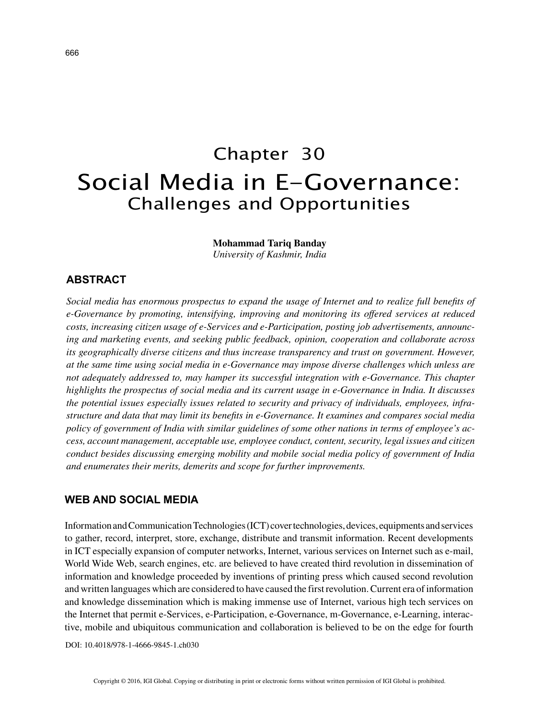# Chapter 30 Social Media in E-Governance: Challenges and Opportunities

**Mohammad Tariq Banday**

*University of Kashmir, India*

# **ABSTRACT**

*Social media has enormous prospectus to expand the usage of Internet and to realize full benefits of e-Governance by promoting, intensifying, improving and monitoring its offered services at reduced costs, increasing citizen usage of e-Services and e-Participation, posting job advertisements, announcing and marketing events, and seeking public feedback, opinion, cooperation and collaborate across its geographically diverse citizens and thus increase transparency and trust on government. However, at the same time using social media in e-Governance may impose diverse challenges which unless are not adequately addressed to, may hamper its successful integration with e-Governance. This chapter highlights the prospectus of social media and its current usage in e-Governance in India. It discusses the potential issues especially issues related to security and privacy of individuals, employees, infrastructure and data that may limit its benefits in e-Governance. It examines and compares social media policy of government of India with similar guidelines of some other nations in terms of employee's access, account management, acceptable use, employee conduct, content, security, legal issues and citizen conduct besides discussing emerging mobility and mobile social media policy of government of India and enumerates their merits, demerits and scope for further improvements.*

## **WEB AND SOCIAL MEDIA**

Information and Communication Technologies (ICT) cover technologies, devices, equipments and services to gather, record, interpret, store, exchange, distribute and transmit information. Recent developments in ICT especially expansion of computer networks, Internet, various services on Internet such as e-mail, World Wide Web, search engines, etc. are believed to have created third revolution in dissemination of information and knowledge proceeded by inventions of printing press which caused second revolution and written languages which are considered to have caused the first revolution. Current era of information and knowledge dissemination which is making immense use of Internet, various high tech services on the Internet that permit e-Services, e-Participation, e-Governance, m-Governance, e-Learning, interactive, mobile and ubiquitous communication and collaboration is believed to be on the edge for fourth

DOI: 10.4018/978-1-4666-9845-1.ch030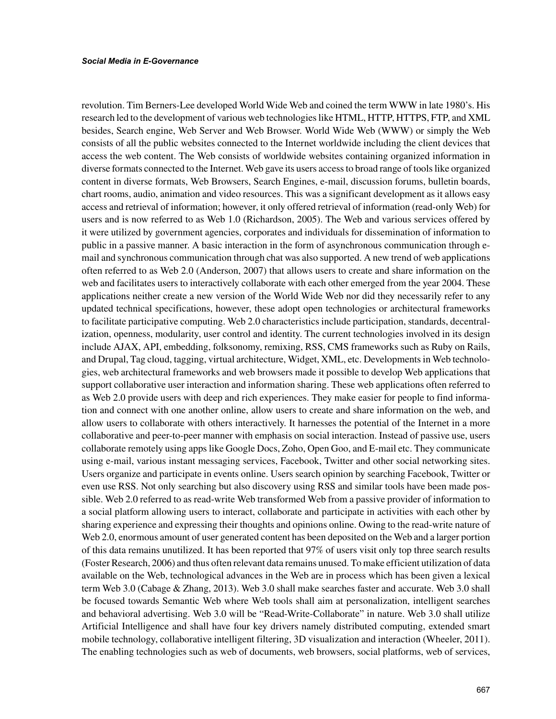revolution. Tim Berners-Lee developed World Wide Web and coined the term WWW in late 1980's. His research led to the development of various web technologies like HTML, HTTP, HTTPS, FTP, and XML besides, Search engine, Web Server and Web Browser. World Wide Web (WWW) or simply the Web consists of all the public websites connected to the Internet worldwide including the client devices that access the web content. The Web consists of worldwide websites containing organized information in diverse formats connected to the Internet. Web gave its users access to broad range of tools like organized content in diverse formats, Web Browsers, Search Engines, e-mail, discussion forums, bulletin boards, chart rooms, audio, animation and video resources. This was a significant development as it allows easy access and retrieval of information; however, it only offered retrieval of information (read-only Web) for users and is now referred to as Web 1.0 (Richardson, 2005). The Web and various services offered by it were utilized by government agencies, corporates and individuals for dissemination of information to public in a passive manner. A basic interaction in the form of asynchronous communication through email and synchronous communication through chat was also supported. A new trend of web applications often referred to as Web 2.0 (Anderson, 2007) that allows users to create and share information on the web and facilitates users to interactively collaborate with each other emerged from the year 2004. These applications neither create a new version of the World Wide Web nor did they necessarily refer to any updated technical specifications, however, these adopt open technologies or architectural frameworks to facilitate participative computing. Web 2.0 characteristics include participation, standards, decentralization, openness, modularity, user control and identity. The current technologies involved in its design include AJAX, API, embedding, folksonomy, remixing, RSS, CMS frameworks such as Ruby on Rails, and Drupal, Tag cloud, tagging, virtual architecture, Widget, XML, etc. Developments in Web technologies, web architectural frameworks and web browsers made it possible to develop Web applications that support collaborative user interaction and information sharing. These web applications often referred to as Web 2.0 provide users with deep and rich experiences. They make easier for people to find information and connect with one another online, allow users to create and share information on the web, and allow users to collaborate with others interactively. It harnesses the potential of the Internet in a more collaborative and peer-to-peer manner with emphasis on social interaction. Instead of passive use, users collaborate remotely using apps like Google Docs, Zoho, Open Goo, and E-mail etc. They communicate using e-mail, various instant messaging services, Facebook, Twitter and other social networking sites. Users organize and participate in events online. Users search opinion by searching Facebook, Twitter or even use RSS. Not only searching but also discovery using RSS and similar tools have been made possible. Web 2.0 referred to as read-write Web transformed Web from a passive provider of information to a social platform allowing users to interact, collaborate and participate in activities with each other by sharing experience and expressing their thoughts and opinions online. Owing to the read-write nature of Web 2.0, enormous amount of user generated content has been deposited on the Web and a larger portion of this data remains unutilized. It has been reported that 97% of users visit only top three search results (Foster Research, 2006) and thus often relevant data remains unused. To make efficient utilization of data available on the Web, technological advances in the Web are in process which has been given a lexical term Web 3.0 (Cabage & Zhang, 2013). Web 3.0 shall make searches faster and accurate. Web 3.0 shall be focused towards Semantic Web where Web tools shall aim at personalization, intelligent searches and behavioral advertising. Web 3.0 will be "Read-Write-Collaborate" in nature. Web 3.0 shall utilize Artificial Intelligence and shall have four key drivers namely distributed computing, extended smart mobile technology, collaborative intelligent filtering, 3D visualization and interaction (Wheeler, 2011). The enabling technologies such as web of documents, web browsers, social platforms, web of services,